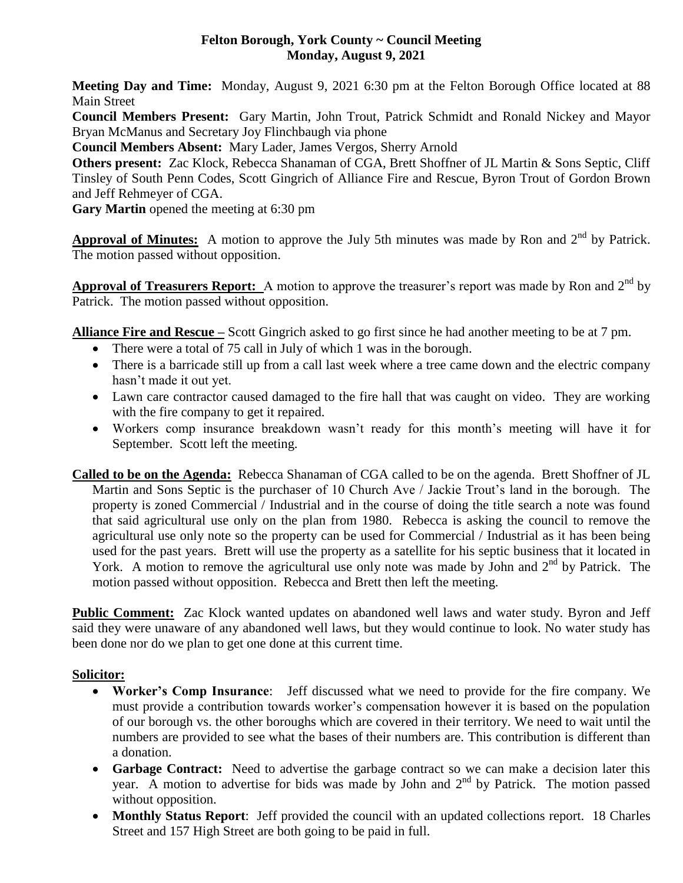# **Felton Borough, York County ~ Council Meeting Monday, August 9, 2021**

**Meeting Day and Time:** Monday, August 9, 2021 6:30 pm at the Felton Borough Office located at 88 Main Street

**Council Members Present:** Gary Martin, John Trout, Patrick Schmidt and Ronald Nickey and Mayor Bryan McManus and Secretary Joy Flinchbaugh via phone

**Council Members Absent:** Mary Lader, James Vergos, Sherry Arnold

**Others present:** Zac Klock, Rebecca Shanaman of CGA, Brett Shoffner of JL Martin & Sons Septic, Cliff Tinsley of South Penn Codes, Scott Gingrich of Alliance Fire and Rescue, Byron Trout of Gordon Brown and Jeff Rehmeyer of CGA.

**Gary Martin** opened the meeting at 6:30 pm

**Approval of Minutes:** A motion to approve the July 5th minutes was made by Ron and  $2^{nd}$  by Patrick. The motion passed without opposition.

Approval of Treasurers Report: A motion to approve the treasurer's report was made by Ron and 2<sup>nd</sup> by Patrick. The motion passed without opposition.

**Alliance Fire and Rescue –** Scott Gingrich asked to go first since he had another meeting to be at 7 pm.

- There were a total of 75 call in July of which 1 was in the borough.
- There is a barricade still up from a call last week where a tree came down and the electric company hasn't made it out yet.
- Lawn care contractor caused damaged to the fire hall that was caught on video. They are working with the fire company to get it repaired.
- Workers comp insurance breakdown wasn't ready for this month's meeting will have it for September. Scott left the meeting.
- **Called to be on the Agenda:** Rebecca Shanaman of CGA called to be on the agenda. Brett Shoffner of JL Martin and Sons Septic is the purchaser of 10 Church Ave / Jackie Trout's land in the borough. The property is zoned Commercial / Industrial and in the course of doing the title search a note was found that said agricultural use only on the plan from 1980. Rebecca is asking the council to remove the agricultural use only note so the property can be used for Commercial / Industrial as it has been being used for the past years. Brett will use the property as a satellite for his septic business that it located in York. A motion to remove the agricultural use only note was made by John and  $2<sup>nd</sup>$  by Patrick. The motion passed without opposition. Rebecca and Brett then left the meeting.

**Public Comment:** Zac Klock wanted updates on abandoned well laws and water study. Byron and Jeff said they were unaware of any abandoned well laws, but they would continue to look. No water study has been done nor do we plan to get one done at this current time.

### **Solicitor:**

- **Worker's Comp Insurance**: Jeff discussed what we need to provide for the fire company. We must provide a contribution towards worker's compensation however it is based on the population of our borough vs. the other boroughs which are covered in their territory. We need to wait until the numbers are provided to see what the bases of their numbers are. This contribution is different than a donation.
- **Garbage Contract:** Need to advertise the garbage contract so we can make a decision later this year. A motion to advertise for bids was made by John and  $2<sup>nd</sup>$  by Patrick. The motion passed without opposition.
- **Monthly Status Report**: Jeff provided the council with an updated collections report. 18 Charles Street and 157 High Street are both going to be paid in full.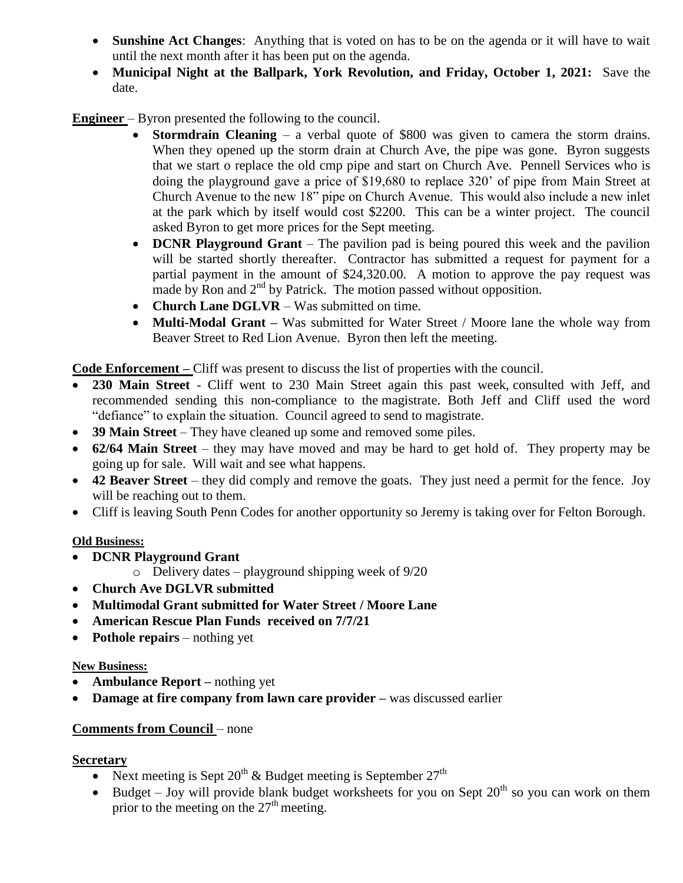- **Sunshine Act Changes**: Anything that is voted on has to be on the agenda or it will have to wait until the next month after it has been put on the agenda.
- **Municipal Night at the Ballpark, York Revolution, and Friday, October 1, 2021:** Save the date.

**Engineer** – Byron presented the following to the council.

- **Stormdrain Cleaning**  a verbal quote of \$800 was given to camera the storm drains. When they opened up the storm drain at Church Ave, the pipe was gone. Byron suggests that we start o replace the old cmp pipe and start on Church Ave. Pennell Services who is doing the playground gave a price of \$19,680 to replace 320' of pipe from Main Street at Church Avenue to the new 18" pipe on Church Avenue. This would also include a new inlet at the park which by itself would cost \$2200. This can be a winter project. The council asked Byron to get more prices for the Sept meeting.
- **DCNR Playground Grant** The pavilion pad is being poured this week and the pavilion will be started shortly thereafter. Contractor has submitted a request for payment for a partial payment in the amount of \$24,320.00. A motion to approve the pay request was made by Ron and 2<sup>nd</sup> by Patrick. The motion passed without opposition.
- **Church Lane DGLVR**  Was submitted on time.
- **Multi-Modal Grant** Was submitted for Water Street / Moore lane the whole way from Beaver Street to Red Lion Avenue. Byron then left the meeting.

**Code Enforcement –** Cliff was present to discuss the list of properties with the council.

- **230 Main Street**  Cliff went to 230 Main Street again this past week, consulted with Jeff, and recommended sending this non-compliance to the magistrate. Both Jeff and Cliff used the word "defiance" to explain the situation. Council agreed to send to magistrate.
- **39 Main Street** They have cleaned up some and removed some piles.
- **62/64 Main Street** they may have moved and may be hard to get hold of. They property may be going up for sale. Will wait and see what happens.
- 42 Beaver Street they did comply and remove the goats. They just need a permit for the fence. Joy will be reaching out to them.
- Cliff is leaving South Penn Codes for another opportunity so Jeremy is taking over for Felton Borough.

# **Old Business:**

- **DCNR Playground Grant** 
	- $\circ$  Delivery dates playground shipping week of 9/20
- **Church Ave DGLVR submitted**
- **Multimodal Grant submitted for Water Street / Moore Lane**
- **American Rescue Plan Funds received on 7/7/21**
- **Pothole repairs** nothing yet

# **New Business:**

- **Ambulance Report** nothing yet
- **Damage at fire company from lawn care provider –** was discussed earlier

# **Comments from Council** – none

# **Secretary**

- Next meeting is Sept  $20^{th}$  & Budget meeting is September  $27^{th}$
- Budget Joy will provide blank budget worksheets for you on Sept  $20<sup>th</sup>$  so you can work on them prior to the meeting on the  $27<sup>th</sup>$  meeting.